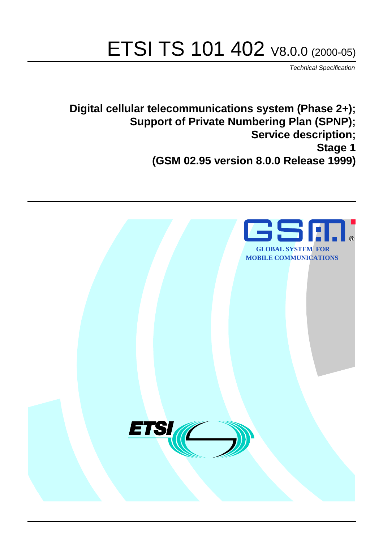# ETSI TS 101 402 V8.0.0 (2000-05)

Technical Specification

**Digital cellular telecommunications system (Phase 2+); Support of Private Numbering Plan (SPNP); Service description; Stage 1 (GSM 02.95 version 8.0.0 Release 1999)**

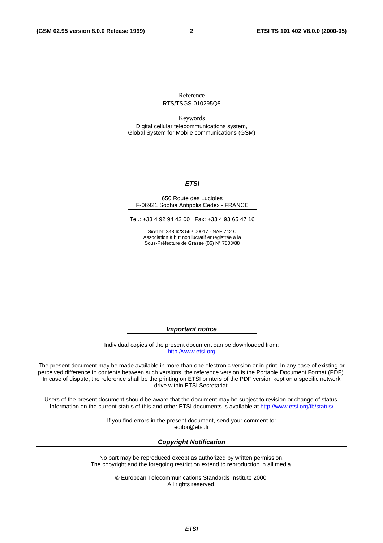Reference RTS/TSGS-010295Q8

Keywords

Digital cellular telecommunications system, Global System for Mobile communications (GSM)

#### **ETSI**

#### 650 Route des Lucioles F-06921 Sophia Antipolis Cedex - FRANCE

Tel.: +33 4 92 94 42 00 Fax: +33 4 93 65 47 16

Siret N° 348 623 562 00017 - NAF 742 C Association à but non lucratif enregistrée à la Sous-Préfecture de Grasse (06) N° 7803/88

**Important notice**

Individual copies of the present document can be downloaded from: [http://www.etsi.org](http://www.etsi.org/)

The present document may be made available in more than one electronic version or in print. In any case of existing or perceived difference in contents between such versions, the reference version is the Portable Document Format (PDF). In case of dispute, the reference shall be the printing on ETSI printers of the PDF version kept on a specific network drive within ETSI Secretariat.

Users of the present document should be aware that the document may be subject to revision or change of status. Information on the current status of this and other ETSI documents is available at [http://www.etsi.org/tb/status/](http://www.etsi.org/tb/status)

> If you find errors in the present document, send your comment to: <editor@etsi.fr>

#### **Copyright Notification**

No part may be reproduced except as authorized by written permission. The copyright and the foregoing restriction extend to reproduction in all media.

> © European Telecommunications Standards Institute 2000. All rights reserved.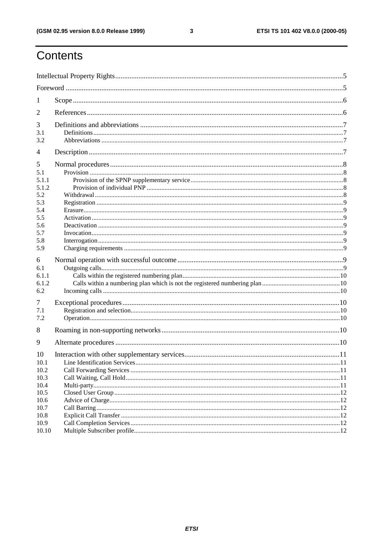#### ETSI TS 101 402 V8.0.0 (2000-05)

## Contents

| -1           |  |  |  |
|--------------|--|--|--|
| 2            |  |  |  |
| 3            |  |  |  |
| 3.1          |  |  |  |
| 3.2          |  |  |  |
| 4            |  |  |  |
| 5            |  |  |  |
| 5.1          |  |  |  |
| 5.1.1        |  |  |  |
| 5.1.2        |  |  |  |
| 5.2          |  |  |  |
| 5.3          |  |  |  |
| 5.4          |  |  |  |
| 5.5          |  |  |  |
| 5.6          |  |  |  |
| 5.7          |  |  |  |
| 5.8          |  |  |  |
| 5.9          |  |  |  |
| 6            |  |  |  |
| 6.1          |  |  |  |
| 6.1.1        |  |  |  |
| 6.1.2        |  |  |  |
| 6.2          |  |  |  |
|              |  |  |  |
| 7            |  |  |  |
| 7.1          |  |  |  |
| 7.2          |  |  |  |
| 8            |  |  |  |
| 9            |  |  |  |
| 10           |  |  |  |
| 10.1         |  |  |  |
| 10.2         |  |  |  |
| 10.3         |  |  |  |
| 10.4         |  |  |  |
| 10.5         |  |  |  |
| 10.6         |  |  |  |
|              |  |  |  |
| 10.7         |  |  |  |
|              |  |  |  |
| 10.8<br>10.9 |  |  |  |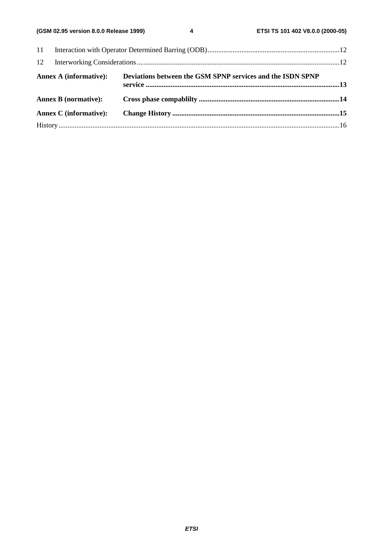| 12 |                               |                                                            |  |  |
|----|-------------------------------|------------------------------------------------------------|--|--|
|    | <b>Annex A (informative):</b> | Deviations between the GSM SPNP services and the ISDN SPNP |  |  |
|    | <b>Annex B (normative):</b>   |                                                            |  |  |
|    | Annex C (informative):        |                                                            |  |  |
|    |                               |                                                            |  |  |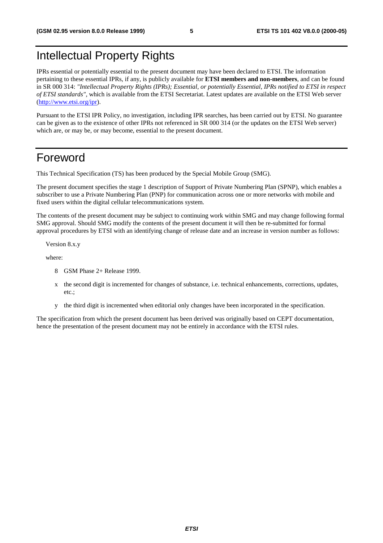## Intellectual Property Rights

IPRs essential or potentially essential to the present document may have been declared to ETSI. The information pertaining to these essential IPRs, if any, is publicly available for **ETSI members and non-members**, and can be found in SR 000 314: *"Intellectual Property Rights (IPRs); Essential, or potentially Essential, IPRs notified to ETSI in respect of ETSI standards"*, which is available from the ETSI Secretariat. Latest updates are available on the ETSI Web server [\(http://www.etsi.org/ipr](http://www.etsi.org/ipr)).

Pursuant to the ETSI IPR Policy, no investigation, including IPR searches, has been carried out by ETSI. No guarantee can be given as to the existence of other IPRs not referenced in SR 000 314 (or the updates on the ETSI Web server) which are, or may be, or may become, essential to the present document.

## Foreword

This Technical Specification (TS) has been produced by the Special Mobile Group (SMG).

The present document specifies the stage 1 description of Support of Private Numbering Plan (SPNP), which enables a subscriber to use a Private Numbering Plan (PNP) for communication across one or more networks with mobile and fixed users within the digital cellular telecommunications system.

The contents of the present document may be subject to continuing work within SMG and may change following formal SMG approval. Should SMG modify the contents of the present document it will then be re-submitted for formal approval procedures by ETSI with an identifying change of release date and an increase in version number as follows:

Version 8.x.y

where:

- 8 GSM Phase 2+ Release 1999.
- x the second digit is incremented for changes of substance, i.e. technical enhancements, corrections, updates, etc.;
- y the third digit is incremented when editorial only changes have been incorporated in the specification.

The specification from which the present document has been derived was originally based on CEPT documentation, hence the presentation of the present document may not be entirely in accordance with the ETSI rules.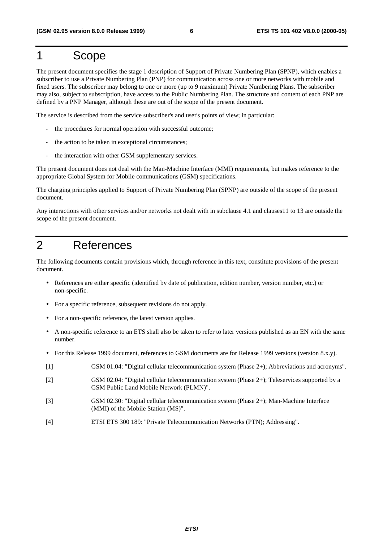## 1 Scope

The present document specifies the stage 1 description of Support of Private Numbering Plan (SPNP), which enables a subscriber to use a Private Numbering Plan (PNP) for communication across one or more networks with mobile and fixed users. The subscriber may belong to one or more (up to 9 maximum) Private Numbering Plans. The subscriber may also, subject to subscription, have access to the Public Numbering Plan. The structure and content of each PNP are defined by a PNP Manager, although these are out of the scope of the present document.

The service is described from the service subscriber's and user's points of view; in particular:

- the procedures for normal operation with successful outcome;
- the action to be taken in exceptional circumstances;
- the interaction with other GSM supplementary services.

The present document does not deal with the Man-Machine Interface (MMI) requirements, but makes reference to the appropriate Global System for Mobile communications (GSM) specifications.

The charging principles applied to Support of Private Numbering Plan (SPNP) are outside of the scope of the present document.

Any interactions with other services and/or networks not dealt with in subclause 4.1 and clauses11 to 13 are outside the scope of the present document.

## 2 References

The following documents contain provisions which, through reference in this text, constitute provisions of the present document.

- References are either specific (identified by date of publication, edition number, version number, etc.) or non-specific.
- For a specific reference, subsequent revisions do not apply.
- For a non-specific reference, the latest version applies.
- A non-specific reference to an ETS shall also be taken to refer to later versions published as an EN with the same number.
- For this Release 1999 document, references to GSM documents are for Release 1999 versions (version 8.x.y).
- [1] GSM 01.04: "Digital cellular telecommunication system (Phase 2+); Abbreviations and acronyms".
- [2] GSM 02.04: "Digital cellular telecommunication system (Phase 2+); Teleservices supported by a GSM Public Land Mobile Network (PLMN)".
- [3] GSM 02.30: "Digital cellular telecommunication system (Phase 2+); Man-Machine Interface (MMI) of the Mobile Station (MS)".
- [4] ETSI ETS 300 189: "Private Telecommunication Networks (PTN); Addressing".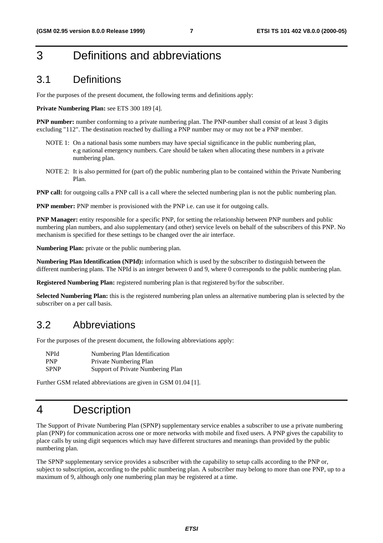## 3 Definitions and abbreviations

### 3.1 Definitions

For the purposes of the present document, the following terms and definitions apply:

#### **Private Numbering Plan:** see ETS 300 189 [4].

**PNP number:** number conforming to a private numbering plan. The PNP-number shall consist of at least 3 digits excluding "112". The destination reached by dialling a PNP number may or may not be a PNP member.

- NOTE 1: On a national basis some numbers may have special significance in the public numbering plan, e.g national emergency numbers. Care should be taken when allocating these numbers in a private numbering plan.
- NOTE 2: It is also permitted for (part of) the public numbering plan to be contained within the Private Numbering Plan.

**PNP call:** for outgoing calls a PNP call is a call where the selected numbering plan is not the public numbering plan.

**PNP member:** PNP member is provisioned with the PNP i.e. can use it for outgoing calls.

**PNP Manager:** entity responsible for a specific PNP, for setting the relationship between PNP numbers and public numbering plan numbers, and also supplementary (and other) service levels on behalf of the subscribers of this PNP. No mechanism is specified for these settings to be changed over the air interface.

**Numbering Plan:** private or the public numbering plan.

**Numbering Plan Identification (NPId):** information which is used by the subscriber to distinguish between the different numbering plans. The NPId is an integer between 0 and 9, where 0 corresponds to the public numbering plan.

**Registered Numbering Plan:** registered numbering plan is that registered by/for the subscriber.

**Selected Numbering Plan:** this is the registered numbering plan unless an alternative numbering plan is selected by the subscriber on a per call basis.

### 3.2 Abbreviations

For the purposes of the present document, the following abbreviations apply:

| NPId        | Numbering Plan Identification     |
|-------------|-----------------------------------|
| <b>PNP</b>  | Private Numbering Plan            |
| <b>SPNP</b> | Support of Private Numbering Plan |

Further GSM related abbreviations are given in GSM 01.04 [1].

## 4 Description

The Support of Private Numbering Plan (SPNP) supplementary service enables a subscriber to use a private numbering plan (PNP) for communication across one or more networks with mobile and fixed users. A PNP gives the capability to place calls by using digit sequences which may have different structures and meanings than provided by the public numbering plan.

The SPNP supplementary service provides a subscriber with the capability to setup calls according to the PNP or, subject to subscription, according to the public numbering plan. A subscriber may belong to more than one PNP, up to a maximum of 9, although only one numbering plan may be registered at a time.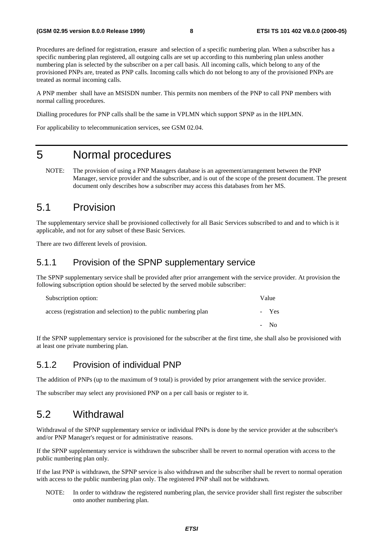Procedures are defined for registration, erasure and selection of a specific numbering plan. When a subscriber has a specific numbering plan registered, all outgoing calls are set up according to this numbering plan unless another numbering plan is selected by the subscriber on a per call basis. All incoming calls, which belong to any of the provisioned PNPs are, treated as PNP calls. Incoming calls which do not belong to any of the provisioned PNPs are treated as normal incoming calls.

A PNP member shall have an MSISDN number. This permits non members of the PNP to call PNP members with normal calling procedures.

Dialling procedures for PNP calls shall be the same in VPLMN which support SPNP as in the HPLMN.

For applicability to telecommunication services, see GSM 02.04.

## 5 Normal procedures

NOTE: The provision of using a PNP Managers database is an agreement/arrangement between the PNP Manager, service provider and the subscriber, and is out of the scope of the present document. The present document only describes how a subscriber may access this databases from her MS.

### 5.1 Provision

The supplementary service shall be provisioned collectively for all Basic Services subscribed to and and to which is it applicable, and not for any subset of these Basic Services.

There are two different levels of provision.

#### 5.1.1 Provision of the SPNP supplementary service

The SPNP supplementary service shall be provided after prior arrangement with the service provider. At provision the following subscription option should be selected by the served mobile subscriber:

| Subscription option:                                             | Value   |
|------------------------------------------------------------------|---------|
| access (registration and selection) to the public numbering plan | Yes     |
|                                                                  | $-$ No. |

If the SPNP supplementary service is provisioned for the subscriber at the first time, she shall also be provisioned with at least one private numbering plan.

#### 5.1.2 Provision of individual PNP

The addition of PNPs (up to the maximum of 9 total) is provided by prior arrangement with the service provider.

The subscriber may select any provisioned PNP on a per call basis or register to it.

### 5.2 Withdrawal

Withdrawal of the SPNP supplementary service or individual PNPs is done by the service provider at the subscriber's and/or PNP Manager's request or for administrative reasons.

If the SPNP supplementary service is withdrawn the subscriber shall be revert to normal operation with access to the public numbering plan only.

If the last PNP is withdrawn, the SPNP service is also withdrawn and the subscriber shall be revert to normal operation with access to the public numbering plan only. The registered PNP shall not be withdrawn.

NOTE: In order to withdraw the registered numbering plan, the service provider shall first register the subscriber onto another numbering plan.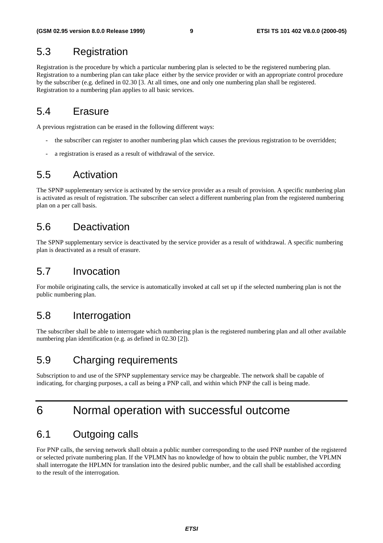## 5.3 Registration

Registration is the procedure by which a particular numbering plan is selected to be the registered numbering plan. Registration to a numbering plan can take place either by the service provider or with an appropriate control procedure by the subscriber (e.g. defined in 02.30 [3. At all times, one and only one numbering plan shall be registered. Registration to a numbering plan applies to all basic services.

## 5.4 Erasure

A previous registration can be erased in the following different ways:

- the subscriber can register to another numbering plan which causes the previous registration to be overridden;
- a registration is erased as a result of withdrawal of the service.

## 5.5 Activation

The SPNP supplementary service is activated by the service provider as a result of provision. A specific numbering plan is activated as result of registration. The subscriber can select a different numbering plan from the registered numbering plan on a per call basis.

## 5.6 Deactivation

The SPNP supplementary service is deactivated by the service provider as a result of withdrawal. A specific numbering plan is deactivated as a result of erasure.

## 5.7 Invocation

For mobile originating calls, the service is automatically invoked at call set up if the selected numbering plan is not the public numbering plan.

### 5.8 Interrogation

The subscriber shall be able to interrogate which numbering plan is the registered numbering plan and all other available numbering plan identification (e.g. as defined in 02.30 [2]).

## 5.9 Charging requirements

Subscription to and use of the SPNP supplementary service may be chargeable. The network shall be capable of indicating, for charging purposes, a call as being a PNP call, and within which PNP the call is being made.

## 6 Normal operation with successful outcome

## 6.1 Outgoing calls

For PNP calls, the serving network shall obtain a public number corresponding to the used PNP number of the registered or selected private numbering plan. If the VPLMN has no knowledge of how to obtain the public number, the VPLMN shall interrogate the HPLMN for translation into the desired public number, and the call shall be established according to the result of the interrogation.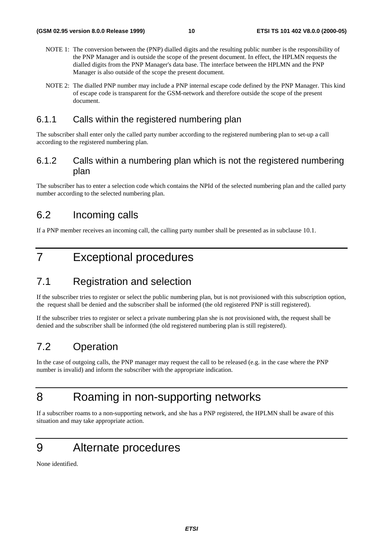- NOTE 1: The conversion between the (PNP) dialled digits and the resulting public number is the responsibility of the PNP Manager and is outside the scope of the present document. In effect, the HPLMN requests the dialled digits from the PNP Manager's data base. The interface between the HPLMN and the PNP Manager is also outside of the scope the present document.
- NOTE 2: The dialled PNP number may include a PNP internal escape code defined by the PNP Manager. This kind of escape code is transparent for the GSM-network and therefore outside the scope of the present document.

#### 6.1.1 Calls within the registered numbering plan

The subscriber shall enter only the called party number according to the registered numbering plan to set-up a call according to the registered numbering plan.

#### 6.1.2 Calls within a numbering plan which is not the registered numbering plan

The subscriber has to enter a selection code which contains the NPId of the selected numbering plan and the called party number according to the selected numbering plan.

### 6.2 Incoming calls

If a PNP member receives an incoming call, the calling party number shall be presented as in subclause 10.1.

## 7 Exceptional procedures

## 7.1 Registration and selection

If the subscriber tries to register or select the public numbering plan, but is not provisioned with this subscription option, the request shall be denied and the subscriber shall be informed (the old registered PNP is still registered).

If the subscriber tries to register or select a private numbering plan she is not provisioned with, the request shall be denied and the subscriber shall be informed (the old registered numbering plan is still registered).

## 7.2 Operation

In the case of outgoing calls, the PNP manager may request the call to be released (e.g. in the case where the PNP number is invalid) and inform the subscriber with the appropriate indication.

## 8 Roaming in non-supporting networks

If a subscriber roams to a non-supporting network, and she has a PNP registered, the HPLMN shall be aware of this situation and may take appropriate action.

## 9 Alternate procedures

None identified.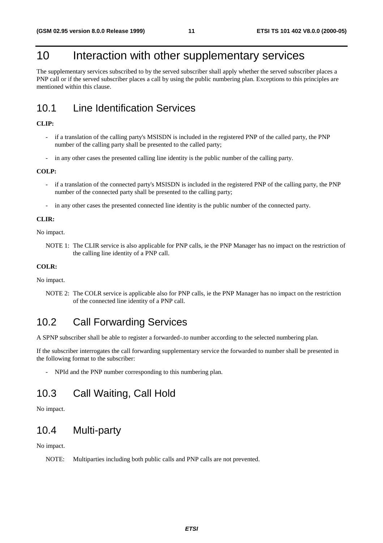## 10 Interaction with other supplementary services

The supplementary services subscribed to by the served subscriber shall apply whether the served subscriber places a PNP call or if the served subscriber places a call by using the public numbering plan. Exceptions to this principles are mentioned within this clause.

## 10.1 Line Identification Services

#### **CLIP:**

- if a translation of the calling party's MSISDN is included in the registered PNP of the called party, the PNP number of the calling party shall be presented to the called party;
- in any other cases the presented calling line identity is the public number of the calling party.

#### **COLP:**

- if a translation of the connected party's MSISDN is included in the registered PNP of the calling party, the PNP number of the connected party shall be presented to the calling party;
- in any other cases the presented connected line identity is the public number of the connected party.

#### **CLIR:**

No impact.

NOTE 1: The CLIR service is also applicable for PNP calls, ie the PNP Manager has no impact on the restriction of the calling line identity of a PNP call.

#### **COLR:**

No impact.

NOTE 2: The COLR service is applicable also for PNP calls, ie the PNP Manager has no impact on the restriction of the connected line identity of a PNP call.

## 10.2 Call Forwarding Services

A SPNP subscriber shall be able to register a forwarded-.to number according to the selected numbering plan.

If the subscriber interrogates the call forwarding supplementary service the forwarded to number shall be presented in the following format to the subscriber:

- NPId and the PNP number corresponding to this numbering plan.

## 10.3 Call Waiting, Call Hold

No impact.

## 10.4 Multi-party

No impact.

NOTE: Multiparties including both public calls and PNP calls are not prevented.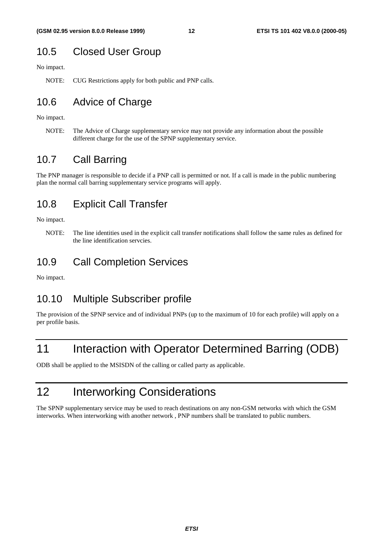## 10.5 Closed User Group

No impact.

NOTE: CUG Restrictions apply for both public and PNP calls.

## 10.6 Advice of Charge

No impact.

NOTE: The Advice of Charge supplementary service may not provide any information about the possible different charge for the use of the SPNP supplementary service.

### 10.7 Call Barring

The PNP manager is responsible to decide if a PNP call is permitted or not. If a call is made in the public numbering plan the normal call barring supplementary service programs will apply.

### 10.8 Explicit Call Transfer

No impact.

### 10.9 Call Completion Services

No impact.

### 10.10 Multiple Subscriber profile

The provision of the SPNP service and of individual PNPs (up to the maximum of 10 for each profile) will apply on a per profile basis.

## 11 Interaction with Operator Determined Barring (ODB)

ODB shall be applied to the MSISDN of the calling or called party as applicable.

## 12 Interworking Considerations

The SPNP supplementary service may be used to reach destinations on any non-GSM networks with which the GSM interworks. When interworking with another network , PNP numbers shall be translated to public numbers.

NOTE: The line identities used in the explicit call transfer notifications shall follow the same rules as defined for the line identification servcies.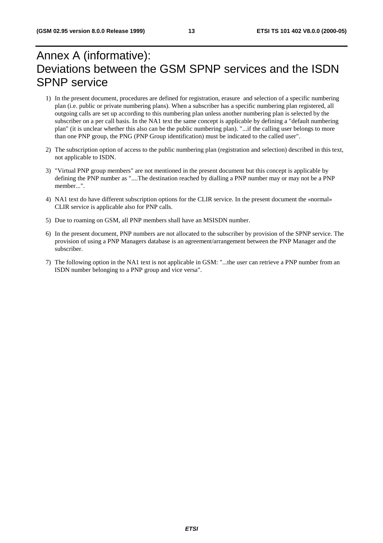## Annex A (informative): Deviations between the GSM SPNP services and the ISDN SPNP service

- 1) In the present document, procedures are defined for registration, erasure and selection of a specific numbering plan (i.e. public or private numbering plans). When a subscriber has a specific numbering plan registered, all outgoing calls are set up according to this numbering plan unless another numbering plan is selected by the subscriber on a per call basis. In the NA1 text the same concept is applicable by defining a "default numbering plan" (it is unclear whether this also can be the public numbering plan). "...if the calling user belongs to more than one PNP group, the PNG (PNP Group identification) must be indicated to the called user".
- 2) The subscription option of access to the public numbering plan (registration and selection) described in this text, not applicable to ISDN.
- 3) "Virtual PNP group members" are not mentioned in the present document but this concept is applicable by defining the PNP number as "....The destination reached by dialling a PNP number may or may not be a PNP member...".
- 4) NA1 text do have different subscription options for the CLIR service. In the present document the «normal» CLIR service is applicable also for PNP calls.
- 5) Due to roaming on GSM, all PNP members shall have an MSISDN number.
- 6) In the present document, PNP numbers are not allocated to the subscriber by provision of the SPNP service. The provision of using a PNP Managers database is an agreement/arrangement between the PNP Manager and the subscriber.
- 7) The following option in the NA1 text is not applicable in GSM: "...the user can retrieve a PNP number from an ISDN number belonging to a PNP group and vice versa".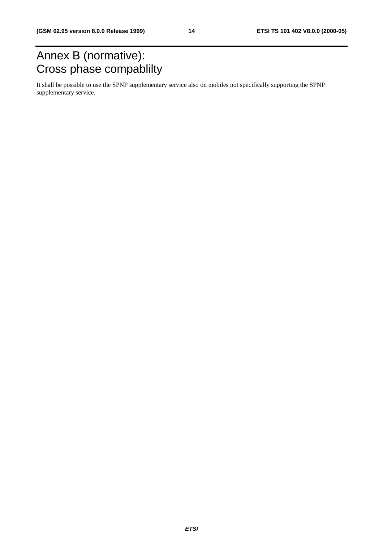## Annex B (normative): Cross phase compablilty

It shall be possible to use the SPNP supplementary service also on mobiles not specifically supporting the SPNP supplementary service.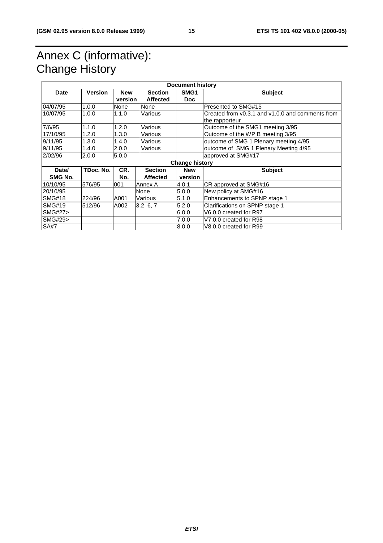## Annex C (informative): Change History

| <b>Document history</b> |                       |            |                 |                  |                                                  |
|-------------------------|-----------------------|------------|-----------------|------------------|--------------------------------------------------|
| Date                    | <b>Version</b>        | <b>New</b> | <b>Section</b>  | SMG <sub>1</sub> | <b>Subject</b>                                   |
|                         |                       | version    | <b>Affected</b> | <b>Doc</b>       |                                                  |
| 04/07/95                | 1.0.0                 | None       | None            |                  | Presented to SMG#15                              |
| 10/07/95                | 1.0.0                 | 1.1.0      | Various         |                  | Created from y0.3.1 and y1.0.0 and comments from |
|                         |                       |            |                 |                  | the rapporteur                                   |
| 7/6/95                  | 1.1.0                 | 1.2.0      | Various         |                  | Outcome of the SMG1 meeting 3/95                 |
| 17/10/95                | 1.2.0                 | 1.3.0      | Various         |                  | Outcome of the WP B meeting 3/95                 |
| 9/11/95                 | 1.3.0                 | 1.4.0      | Various         |                  | outcome of SMG 1 Plenary meeting 4/95            |
| 9/11/95                 | 1.4.0                 | 2.0.0      | Various         |                  | outcome of SMG 1 Plenary Meeting 4/95            |
| 2/02/96                 | 2.0.0                 | 5.0.0      |                 |                  | approved at SMG#17                               |
|                         | <b>Change history</b> |            |                 |                  |                                                  |
| Date/                   | TDoc. No.             | CR.        | <b>Section</b>  | <b>New</b>       | <b>Subject</b>                                   |
| SMG No.                 |                       | No.        | <b>Affected</b> | version          |                                                  |
| 10/10/95                | 576/95                | 001        | Annex A         | 4.0.1            | CR approved at SMG#16                            |
| 20/10/95                |                       |            | None            | 5.0.0            | New policy at SMG#16                             |
| <b>SMG#18</b>           | 224/96                | A001       | Various         | 5.1.0            | Enhancements to SPNP stage 1                     |
| <b>SMG#19</b>           | 512/96                | A002       | 3.2, 6, 7       | 5.2.0            | Clarifications on SPNP stage 1                   |
| <b>SMG#27&gt;</b>       |                       |            |                 | 6.0.0            | V6.0.0 created for R97                           |
| SMG#29>                 |                       |            |                 | 7.0.0            | V7.0.0 created for R98                           |
| <b>SA#7</b>             |                       |            |                 | 8.0.0            | V8.0.0 created for R99                           |